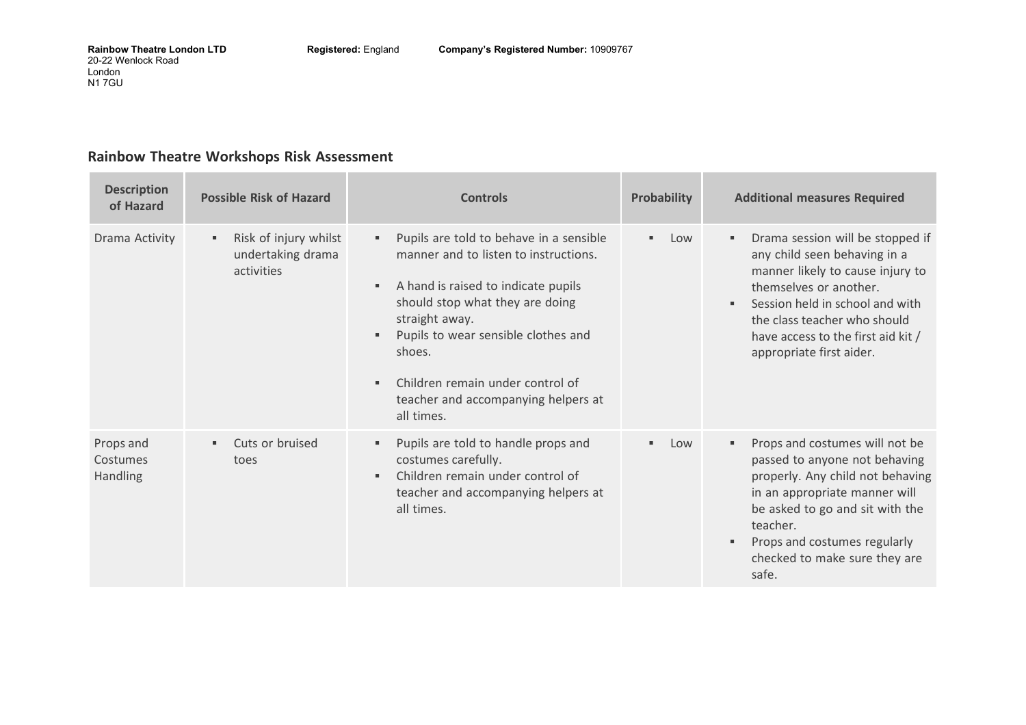## **Rainbow Theatre Workshops Risk Assessment**

| <b>Description</b><br>of Hazard   | <b>Possible Risk of Hazard</b>                                | <b>Controls</b>                                                                                                                                                                                                                                                                                                                                                      | <b>Probability</b>    | <b>Additional measures Required</b>                                                                                                                                                                                                                                                   |
|-----------------------------------|---------------------------------------------------------------|----------------------------------------------------------------------------------------------------------------------------------------------------------------------------------------------------------------------------------------------------------------------------------------------------------------------------------------------------------------------|-----------------------|---------------------------------------------------------------------------------------------------------------------------------------------------------------------------------------------------------------------------------------------------------------------------------------|
| Drama Activity                    | Risk of injury whilst<br>٠<br>undertaking drama<br>activities | Pupils are told to behave in a sensible<br>٠<br>manner and to listen to instructions.<br>A hand is raised to indicate pupils<br>٠<br>should stop what they are doing<br>straight away.<br>Pupils to wear sensible clothes and<br>$\blacksquare$<br>shoes.<br>Children remain under control of<br>$\blacksquare$<br>teacher and accompanying helpers at<br>all times. | Low<br>$\blacksquare$ | Drama session will be stopped if<br>any child seen behaving in a<br>manner likely to cause injury to<br>themselves or another.<br>Session held in school and with<br>$\blacksquare$<br>the class teacher who should<br>have access to the first aid kit /<br>appropriate first aider. |
| Props and<br>Costumes<br>Handling | Cuts or bruised<br>$\blacksquare$<br>toes                     | Pupils are told to handle props and<br>٠<br>costumes carefully.<br>Children remain under control of<br>$\blacksquare$<br>teacher and accompanying helpers at<br>all times.                                                                                                                                                                                           | Low<br>$\blacksquare$ | Props and costumes will not be<br>٠.<br>passed to anyone not behaving<br>properly. Any child not behaving<br>in an appropriate manner will<br>be asked to go and sit with the<br>teacher.<br>Props and costumes regularly<br>checked to make sure they are<br>safe.                   |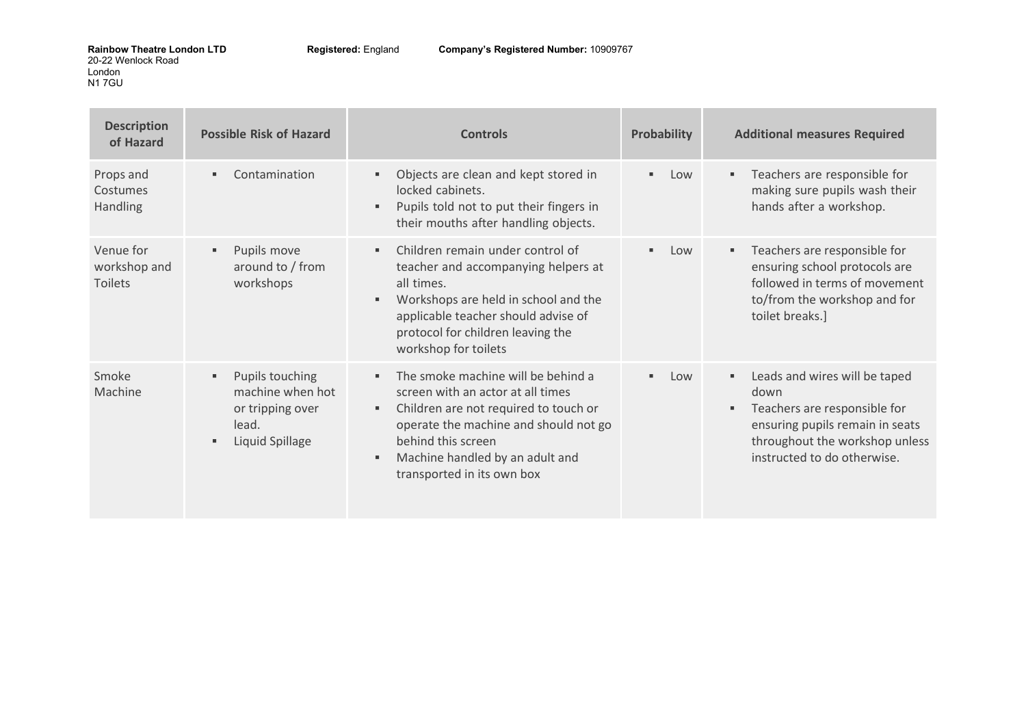**COLLECTION** 

| <b>Description</b><br>of Hazard             | <b>Possible Risk of Hazard</b>                                                      | <b>Controls</b>                                                                                                                                                                                                                                                                           | Probability | <b>Additional measures Required</b>                                                                                                                                             |
|---------------------------------------------|-------------------------------------------------------------------------------------|-------------------------------------------------------------------------------------------------------------------------------------------------------------------------------------------------------------------------------------------------------------------------------------------|-------------|---------------------------------------------------------------------------------------------------------------------------------------------------------------------------------|
| Props and<br>Costumes<br>Handling           | Contamination<br>٠.                                                                 | Objects are clean and kept stored in<br>٠<br>locked cabinets.<br>Pupils told not to put their fingers in<br>٠<br>their mouths after handling objects.                                                                                                                                     | Low         | Teachers are responsible for<br>making sure pupils wash their<br>hands after a workshop.                                                                                        |
| Venue for<br>workshop and<br><b>Toilets</b> | Pupils move<br>around to / from<br>workshops                                        | Children remain under control of<br>$\blacksquare$<br>teacher and accompanying helpers at<br>all times.<br>Workshops are held in school and the<br>٠<br>applicable teacher should advise of<br>protocol for children leaving the<br>workshop for toilets                                  | Low         | Teachers are responsible for<br>ensuring school protocols are<br>followed in terms of movement<br>to/from the workshop and for<br>toilet breaks.]                               |
| Smoke<br>Machine                            | Pupils touching<br>machine when hot<br>or tripping over<br>lead.<br>Liquid Spillage | The smoke machine will be behind a<br>$\blacksquare$<br>screen with an actor at all times<br>Children are not required to touch or<br>٠<br>operate the machine and should not go<br>behind this screen<br>Machine handled by an adult and<br>$\blacksquare$<br>transported in its own box | Low         | Leads and wires will be taped<br>۰.<br>down<br>Teachers are responsible for<br>ensuring pupils remain in seats<br>throughout the workshop unless<br>instructed to do otherwise. |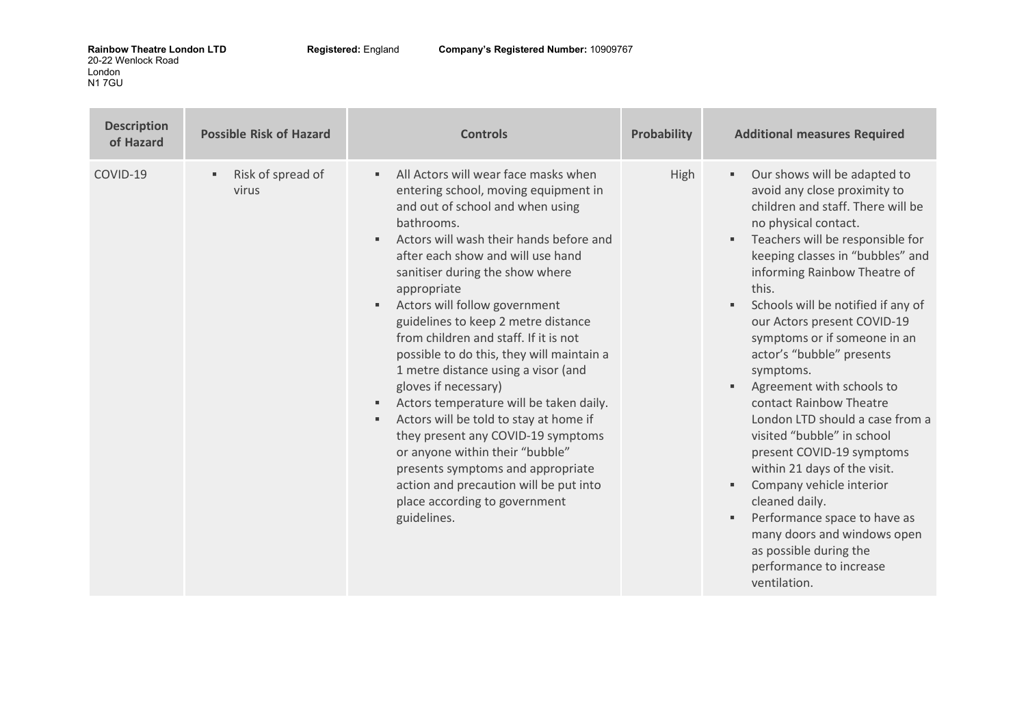$\sim$ 

**Contract Contract** 

| <b>Description</b><br>of Hazard | <b>Possible Risk of Hazard</b>               | <b>Controls</b>                                                                                                                                                                                                                                                                                                                                                                                                                                                                                                                                                                                                                                                                                                                                                                                                                                            | <b>Probability</b> | <b>Additional measures Required</b>                                                                                                                                                                                                                                                                                                                                                                                                                                                                                                                                                                                                                                                                                                                                    |
|---------------------------------|----------------------------------------------|------------------------------------------------------------------------------------------------------------------------------------------------------------------------------------------------------------------------------------------------------------------------------------------------------------------------------------------------------------------------------------------------------------------------------------------------------------------------------------------------------------------------------------------------------------------------------------------------------------------------------------------------------------------------------------------------------------------------------------------------------------------------------------------------------------------------------------------------------------|--------------------|------------------------------------------------------------------------------------------------------------------------------------------------------------------------------------------------------------------------------------------------------------------------------------------------------------------------------------------------------------------------------------------------------------------------------------------------------------------------------------------------------------------------------------------------------------------------------------------------------------------------------------------------------------------------------------------------------------------------------------------------------------------------|
| COVID-19                        | Risk of spread of<br>$\blacksquare$<br>virus | All Actors will wear face masks when<br>$\blacksquare$<br>entering school, moving equipment in<br>and out of school and when using<br>bathrooms.<br>Actors will wash their hands before and<br>$\blacksquare$<br>after each show and will use hand<br>sanitiser during the show where<br>appropriate<br>Actors will follow government<br>٠<br>guidelines to keep 2 metre distance<br>from children and staff. If it is not<br>possible to do this, they will maintain a<br>1 metre distance using a visor (and<br>gloves if necessary)<br>Actors temperature will be taken daily.<br>$\blacksquare$<br>Actors will be told to stay at home if<br>٠<br>they present any COVID-19 symptoms<br>or anyone within their "bubble"<br>presents symptoms and appropriate<br>action and precaution will be put into<br>place according to government<br>guidelines. | High               | Our shows will be adapted to<br>avoid any close proximity to<br>children and staff. There will be<br>no physical contact.<br>Teachers will be responsible for<br>keeping classes in "bubbles" and<br>informing Rainbow Theatre of<br>this.<br>Schools will be notified if any of<br>٠<br>our Actors present COVID-19<br>symptoms or if someone in an<br>actor's "bubble" presents<br>symptoms.<br>Agreement with schools to<br>contact Rainbow Theatre<br>London LTD should a case from a<br>visited "bubble" in school<br>present COVID-19 symptoms<br>within 21 days of the visit.<br>Company vehicle interior<br>cleaned daily.<br>Performance space to have as<br>many doors and windows open<br>as possible during the<br>performance to increase<br>ventilation. |